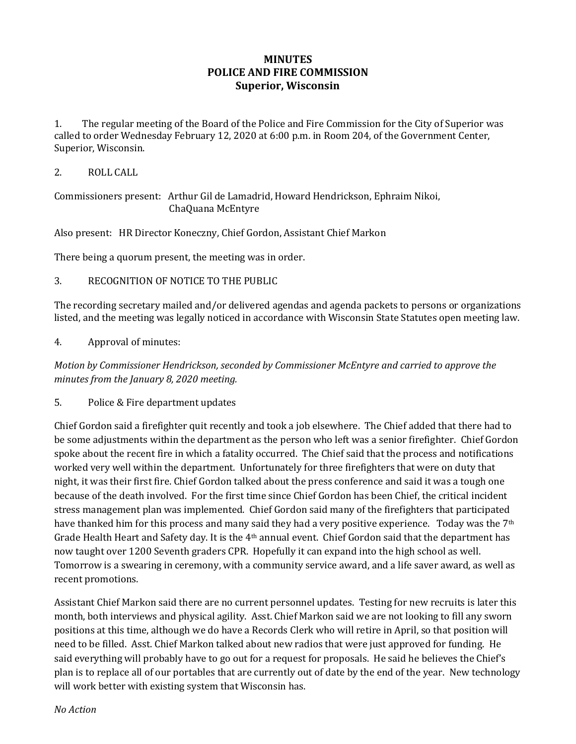## **MINUTES POLICE AND FIRE COMMISSION Superior, Wisconsin**

1. The regular meeting of the Board of the Police and Fire Commission for the City of Superior was called to order Wednesday February 12, 2020 at 6:00 p.m. in Room 204, of the Government Center, Superior, Wisconsin.

2. ROLL CALL

Commissioners present: Arthur Gil de Lamadrid, Howard Hendrickson, Ephraim Nikoi, ChaQuana McEntyre

Also present: HR Director Koneczny, Chief Gordon, Assistant Chief Markon

There being a quorum present, the meeting was in order.

3. RECOGNITION OF NOTICE TO THE PUBLIC

The recording secretary mailed and/or delivered agendas and agenda packets to persons or organizations listed, and the meeting was legally noticed in accordance with Wisconsin State Statutes open meeting law.

4. Approval of minutes:

*Motion by Commissioner Hendrickson, seconded by Commissioner McEntyre and carried to approve the minutes from the January 8, 2020 meeting.* 

5. Police & Fire department updates

Chief Gordon said a firefighter quit recently and took a job elsewhere. The Chief added that there had to be some adjustments within the department as the person who left was a senior firefighter. Chief Gordon spoke about the recent fire in which a fatality occurred. The Chief said that the process and notifications worked very well within the department. Unfortunately for three firefighters that were on duty that night, it was their first fire. Chief Gordon talked about the press conference and said it was a tough one because of the death involved. For the first time since Chief Gordon has been Chief, the critical incident stress management plan was implemented. Chief Gordon said many of the firefighters that participated have thanked him for this process and many said they had a very positive experience. Today was the 7<sup>th</sup> Grade Health Heart and Safety day. It is the 4th annual event. Chief Gordon said that the department has now taught over 1200 Seventh graders CPR. Hopefully it can expand into the high school as well. Tomorrow is a swearing in ceremony, with a community service award, and a life saver award, as well as recent promotions.

Assistant Chief Markon said there are no current personnel updates. Testing for new recruits is later this month, both interviews and physical agility. Asst. Chief Markon said we are not looking to fill any sworn positions at this time, although we do have a Records Clerk who will retire in April, so that position will need to be filled. Asst. Chief Markon talked about new radios that were just approved for funding. He said everything will probably have to go out for a request for proposals. He said he believes the Chief's plan is to replace all of our portables that are currently out of date by the end of the year. New technology will work better with existing system that Wisconsin has.